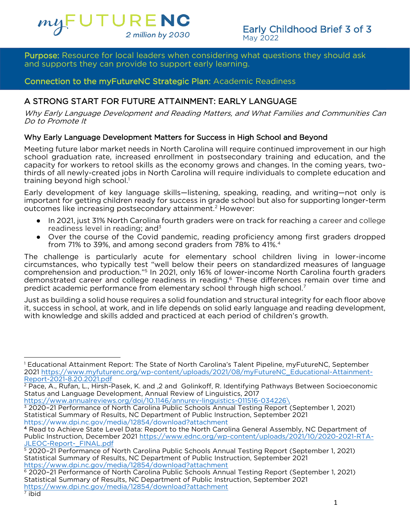

**Purpose:** Resource for local leaders when considering what questions they should ask and supports they can provide to support early learning.

### Connection to the myFutureNC Strategic Plan: Academic Readiness Connection to the myFuture Connection to the matrix  $\mathcal{C}$

## A STRONG START FOR FUTURE ATTAINMENT: EARLY LANGUAGE

A STRONG START FOR FUTURE ATTAINMENT: EARLY LANGUAGE Why Early Language Development and Reading Matters, and What Families and Communities Can Do to Promote It

Why Early Language Development Matters for Success in High School and Beyond<br>Meeting future labor market needs in North Carolina will require continued improvement in our high school graduation rate, increased enrollment in postsecondary training and education, and the capacity for workers to retool skills as the economy grows and changes. In the coming years, twothirds of all newly-created jobs in North Carolina will require individuals to complete education and the all new local newly-created jobs in North Carolina will require individuals to complete education and training beyond high school.<sup>1</sup>

Early development of key language skills—listening, speaking, reading, and writing—not only is important for getting children ready for success in grade school but also for supporting longer-term outcomes like increasing postsecondary attainment.<sup>2</sup> However:

- In 2021, just 31% North Carolina fourth graders were on track for reaching a career and college<br>readiness level in reading; and<sup>3</sup>
- readiness level in reading; and<sup>3</sup><br>• Over the course of the Covid pandemic, reading proficiency among first graders dropped<br>from 71% to 39%, and among second graders from 78% to 41%.<sup>4</sup> from 71% to 39%, and among second graders from 78% to 41%.<sup>4</sup><br>The challenge is particularly acute for elementary school children living in lower-income

circumstances, who typically test "well below their peers on standardized measures of language comprehension and production."<sup>5</sup> In 2021, only 16% of lower-income North Carolina fourth graders comprehension and production. The zuzi, only 16% of lower-income North Carolina fourth graders<br>demonstrated career and college readiness in reading.<sup>6</sup> These differences remain over time and demonstrated career and college readiness in reading.6 These differences remain over time and<br>predict academic performance from elementary school through high school.<sup>7</sup> predict academic performance from elementary school through high school.<sup>7</sup>

Just as building a solid house requires a solid foundation and structural integrity for each floor above it, success in school, at work, and in life depends on solid early language and reading development, with knowledge and skills added and practiced at each period of children's growth. with knowledge and skills added and practiced at each period of children's growth.

https://www.annualreviews.org/doi/10.1146/annurev-linguistics-011516-034226\

<sup>&</sup>lt;sup>1</sup> Educational Attainment Report: The State of North Carolina's Talent Pipeline, myFutureNC, September<br>2021 https://www.myfuturenc.org/wp-content/uploads/2021/08/myFutureNC\_Educational-Attainment-[2021 https://www.myfuture](https://www.myfuturenc.org/wp-content/uploads/2021/08/myFutureNC_Educational-Attainment-Report-2021-8.20.2021.pdf)nc.org/wp-content/uploads/2021/08/myFutureNC\_educational-Attainment-<br>Report-2021-8.20.2021 pdf

 $\overline{P}$  Pace A Rufan I Hirsh-I Status and Language Development, Annual Review of Linguistics, 2017

 $\frac{1}{3}$  2020-21 Performance of North Carolina Public Schools Annual Testing Report (September 1, 2021) Statistical Summary of Results, NC Department of Public Instruction, September 2021 https://www.dpi.nc.gov/media/12854/download?attachment

<sup>4</sup> Read to Achieve State Level Data: Report to the North Carolina General Assembly, NC Department of Public Instruction, December 2021 https://www.ednc.org/wp-content/uploads/2021/10/2020-2021-RTA-JLEOC-Report- FINAL.pdf

<sup>5 2020-21</sup> Performance of North Carolina Public Schools Annual Testing Report (September 1, 2021) Statistical Summary of Results, NC Department of Public Instruction, September 2021 https://www.dpi.nc.gov/media/12854/download?attachment

<sup>2020-21</sup> Performance of North Carolina Public Schools Annual Testing Report (September 1, 2021) Statistical Summary of Results, NC Department of Public Instruction, September 2021 https://www.dpi.nc.gov/media/12854/download?attachment

 $\frac{1}{\pi}$ ibid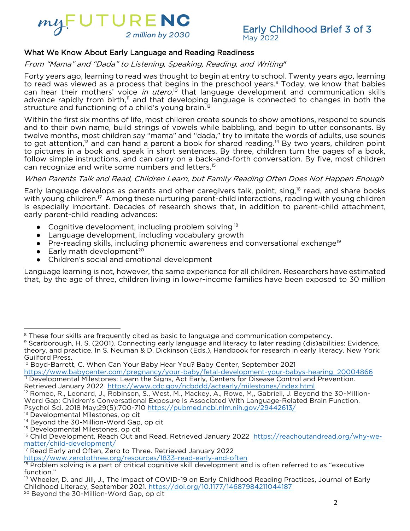

## $\frac{1}{2}$

### where we know a bout Early Language and Reading Reading  $\epsilon$ From "Mama" and "Dada" to Listening, Speaking, Reading, and Writing<sup>8</sup>

Forty years ago, learning to read was thought to begin at entry to school. Twenty years ago, learning to read was viewed as a process that begins in the preschool years.<sup>9</sup> Today, we know that babies can hear their mothers' voice in utero,<sup>10</sup> that language development and communication skills can hear their mothers' voice *in utero*," that language development and communication skills<br>advance rapidly from birth." and that developing language is connected to changes in both the advance rapidly from birth," and that developing language is connected to changes in both the<br>structure and functioning of a child's voung brain.<sup>12</sup> structure and functioning of a child's young brain.<sup>12</sup><br>Within the first six months of life, most children create sounds to show emotions, respond to sounds

and to their own name, build strings of vowels while babbling, and begin to utter consonants. By twelve months, most children say "mama" and "dada," try to imitate the words of adults, use sounds to get attention,<sup>13</sup> and can hand a parent a book for shared reading.<sup>14</sup> By two years, children point to pictures in a book and speak in short sentences. By three, children turn the pages of a book, follow simple instructions, and can carry on a back-and-forth conversation. By five, most children can recognize and write some numbers and letters.<sup>15</sup><br>11/4 - Participation. By five, most children conversation. By five on a back-and participation.

### When Parents Talk and Read, Children Learn, but Family Reading Often Does Not Happen Enough

Early language develops as parents and other caregivers talk, point, sing,<sup>16</sup> read, and share books with young children.<sup>17</sup> Among these nurturing parent-child interactions, reading with young children with young children." Among these nurturing parent-child interactions, reading with young children<br>is especially important. Decades of research shows that, in addition to parent-child attachment. early parent-child reading advances:

- early parent-child reading advances:  $\bullet$  - Cognitive development, including problem solving  $^{18}$ <br> $\bullet$  - Language development, including vocabulary growt
	- Language development, including vocabulary growth<br>● Pre-reading skills including phonemic awareness and
	- $\bullet$  Pre-reading skills, including phonemic awareness and conversational exchange $^{19}$ <br> $\bullet$  Farly math development $^{20}$
	- **•** Early math development<sup>20</sup><br>• Children's social and emot
	-

● Children's social and emotional development<br>Language learning is not, however, the same experience for all children. Researchers have estimated that, by the age of three, children living in lower-income families have been exposed to 30 million  $\mathbf{b}$  that, by the age of three, children living in lower-income families have been exposed to 30 million to 30 million to 30 million to 30 million to 30 million to 30 million to 30 million to 30 million to 30 million

<sup>&</sup>lt;sup>8</sup> These four skills are frequently cited as basic to language and communication competency.<br><sup>9</sup> Scarborough, H. S. (2001). Connecting early language and literacy to later reading (dis)abilities: Evidence,

theory, and practice. In S. Neuman & D. Dickinson (Eds.), Handbook for research in early literacy. New York: Guilford Press.

<sup>&</sup>lt;sup>10</sup> Bovd-Barrett, C. When Can Your Baby Hear You? Baby Center, September 2021

https://www.babycenter.com/pregnancy/your-baby/fetal-development-your-babys-hearing\_20004866 <sup>11</sup> Developmental Milestones: Learn the Signs, Act Early, Centers for Disease Control and Prevention. " Developmental Milestones. Learn the Signs, Act Early, Centers for Disease Control and Prevention.<br>Refrieved January 2022, https://www.cdc.gov/nchddd/actearly/milestones/index.html

 $R^2$ Romeo, R. Leonard, J. Robinson, S. West, M. Mackey, A. Rowe, M. Gabrieli, J. Beyon Romeo, R., Leonard, J., Robinson, S., West, M., Mackey, A., Rowe, M., Gabriell, J. Beyond the 30-Million-<br>Word Gap: Children's Conversationa[l Exposure Is Associated With Language-Relat](https://pubmed.ncbi.nlm.nih.gov/29442613/)ed Brain Function.<br>Psychol Sci. 2018 M Psychol Sci. 2018 May;29(5):700-710 https://pubmed.ncbi.nlm.nih.gov/29442613/<br><sup>13</sup> Developmental Milestones, op cit

<sup>&</sup>lt;sup>14</sup> Beyond the 30-Million-Word Gap, op cit

<sup>&</sup>lt;sup>15</sup> Developmental Milestones, op cit

r Developmental Milestones, op cit<br><sup>16</sup> Child Development, Reach Out ar 16 [Child Development, Reach](https://reachoutandread.org/why-we-matter/child-development/) Out and Read. Retrieved January 2022 <u>https://reachoutandread.org/why-we-</u><br>maffer/child-development/ matter/child-development/<br>
<sup>17</sup> Read Early and Often, Zero to Three. Retrieved January 2022

https://www.zerotothree.org/resources/1833-read-early-and-often

<sup>18</sup> Problem solving is a part of critical cognitive skill development and is often referred to as "executive<br>function." function."<br><sup>19</sup> Wheeler, D. and Jill, J., The Impact of COVID-19 on Early Childhood Reading Practices, Journal of Early

Childhood Literacy, September 2021. https://doi.org/10.1177/14687984211044187

<sup>20</sup> Beyond the 30-Million-Word Gap, op cit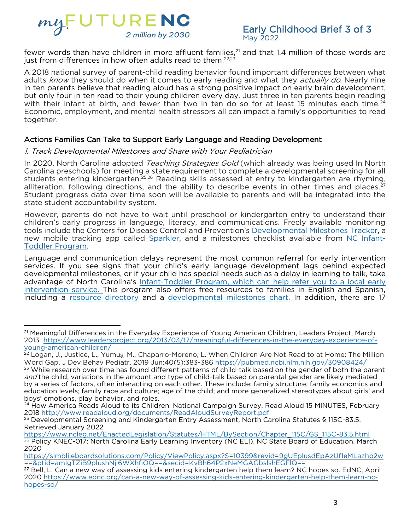

 $\frac{1}{2}$ just from differences in how often adults read to them.<sup>22,23</sup> <sup>21</sup> and that 1.4 million of those words are

A 2018 national survey of parent-child reading behavior found important differences between what adults know they should do when it comes to early reading and what they *actually do*. Nearly nine<br>in ten parents believe that reading aloud has a strong positive impact on early brain development. in ten parents believe that reading aloud has a strong positive impact on early brain development,<br>but only four in ten read to their young children every day. Just three in ten parents begin reading with their infant at birth, and fewer than two in ten do so for at least 15 minutes each time.<sup>24</sup> Economic, employment, and mental health stressors all can impact a family's opportunities to read Economic, employment, and mental health stressors all can impact a family's opportunities to read together.

### Actions Families Can Take to Support Early Language and Reading Development 1. Track Developmental Milestones and Share with Your Pediatrician

In 2020, North Carolina adopted *Teaching Strategies Gold* (which already was being used In North<br>Carolina preschools) for meeting a state requirement to complete a developmental screening for all students entering kindergarten.<sup>25,26</sup> Reading skills assessed at entry to kindergarten are rhyming, alliteration, following directions, and the ability to describe events in other times and places.<sup>27</sup> Student progress data over time soon will be available to parents and will be integrated into the state student accountability system.

However, parents do not have to wait until preschool or kindergarten entry to understand their children's early progress in language, literacy, and communications. Freely available monitoring tools include the Centers for Disease Control and Prevention's Developmental Milestones Tracker, a new mobile tracking app called Sparkler, and a milestones checklist available from NC Infant-Toddler Program.

Language and communication delays represent the most common referral for early intervention services. If you see signs that your child's early language development lags behind expected developmental milestones, or if your child has special needs such as a delay in learning to talk, take advantage of North Carolina's Infant-Toddler Program, which can help refer you to a local early intervention service. This program also offers free resources to families in English and Spanish, including a resource directory and a developmental milestones chart. In addition, there are 17 including a <u>resource directory</u> and a <u>directory and a directory charter.</u> In addition, there are

<sup>&</sup>lt;sup>21</sup> Meaningful Differences in the Everyday Experience of Young American Children, Leaders Project, March<br>2013 https://www.leadersproject.org/2013/03/17/meaningful-differences-in-the-everyday-experience-ofyoung-american-children/

<sup>&</sup>lt;sup>22</sup> Logan, J., Justice, L., Yumuş, M., Chaparro-Moreno, L. [When Children Are Not Read to at Home: The M](https://pubmed.ncbi.nlm.nih.gov/30908424/)illion<br>Word Gan I Dev Behav Pediatr. 2019. Jun:40(5):383-386 https://pubmed.pchi.plm.pih.gov/30908424/ Word Gap. J Dev Behav Pediatr. 2019 Jun;40(5):383-386 https://pubmed.ncbi.nlm.nih.gov/30908424/<br><sup>23</sup> While research over time has found different patterns of child-talk based on the gender of both the parent

and the child, variations in the amount and type of child-talk based on parental gender are likely mediated by a series of factors, often interacting on each other. These include: family structure; family economics and education levels; family race and culture; age of the child; and more generalized stereotypes about girls' and boys' emotions, play behavior, and roles.

<sup>&</sup>lt;sup>24</sup> How America Reads Aloud to its Children: National Campaign Survey. Read Aloud 15 MINUTES, February 2018 http://www.readaloud.org/documents/ReadAloudSurveyReport.pdf

<sup>&</sup>lt;sup>25</sup> Developmental Screening and Kindergarten Entry Assessment, North Carolina Statutes § 115C-83.5.<br>Retrieved January 2022 Retrieved January 2022<br>https://www.ncleg.net/EnactedLegislation/Statutes/HTML/BySection/Chapter\_115C/GS\_115C-83.5.html

<sup>26</sup> Policy KNEC-017: North Carolina Early Learning Inventory (NC ELI), NC State Board of Education, March<br>2020 2020<br>https://simbli.eboardsolutions.com/Policy/ViewPolicy.aspx?S=10399&revid=9gUEplusdEpAzUf1eMLazhp2w

<sup>==&</sup>amp;ptid=amlgTZiB9plushNjl6WXhfiOQ==&secid=KvBh64P2xNeMGAGbslshEGFlQ==

<sup>&</sup>lt;sup>27</sup> Bell, L. Can a new way of assessing kids entering kindergarten help them learn? NC hopes so. EdNC, April 2020 https://www.ednc.org/can-a-new-way-of-assessing-kids-entering-kindergarten-help-them-learn-nc-2020 https://www.educan-a-new-way-of-assessing-kids-entering-kids-entering-kids-entering-kids-entering-<br>hopes-so/ [hopes-so/](https://www.ednc.org/can-a-new-way-of-assessing-kids-entering-kindergarten-help-them-learn-nc-hopes-so/)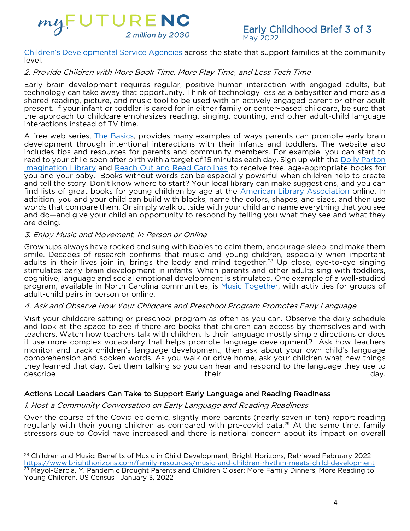

Children's Developmental Service Agencies across the state that support families at the community <u>Childre[n's Developmental Service Agencies](about:blank)</u> across the state that support families at the community<br>|evel

### level. 2. Provide Children with More Book Time, More Play Time, and Less Tech Time

Early brain development requires regular, positive human interaction with engaged adults, but technology can take away that opportunity. Think of technology less as a babysitter and more as a shared reading, picture, and music tool to be used with an actively engaged parent or other adult present. If your infant or toddler is cared for in either family or center-based childcare, be sure that the approach to childcare emphasizes reading, singing, counting, and other adult-child language interactions instead of TV time.

A free web series, The Basics, provides many examples of ways parents can promote early brain development through intentional interactions with their infants and toddlers. The website also includes tips and resources for parents and community members. For example, you can start to read to your child soon after birth with a target of 15 minutes each day. Sign up with the Dolly Parton Imagination Library and Reach Out and Read Carolinas to receive free, age-appropriate books for you and your baby. Books without words can be especially powerful when children help to create and tell the story. Don't know where to start? Your local library can make suggestions, and you can find lists of great books for young children by age at the American Library Association online. In addition, you and your child can build with blocks, name the colors, shapes, and sizes, and then use words that compare them. Or simply walk outside with your child and name everything that you see and do—and give your child an opportunity to respond by telling you what they see and what they are doing. The sees and they see an opportunity to respond the theory sees and what they see and what they see

### are doing. 3. Enjoy Music and Movement, In Person or Online

Grownups always have rocked and sung with babies to calm them, encourage sleep, and make them<br>smile. Decades of research confirms that music and young children, especially when important adults in their lives join in, brings the body and mind together.<sup>28</sup> Up close, eve-to-eve singing stimulates early brain development in infants. When parents and other adults sing with toddlers. cognitive, language and social emotional development is stimulated. One example of a well-studied program, available in North Carolina communities, is Music Together, with activities for groups of adult-child pairs in person or online.

### $\frac{1}{\sqrt{2}}$ 4. Ask and Observe How Your Childcare and Preschool Program Promotes Early Language

Visit your childcare setting or preschool program as often as you can. Observe the daily schedule teachers. Watch how teachers talk with children. Is their language mostly simple directions or does it use more complex vocabulary that helps promote language development? Ask how teachers monitor and track children's language development, then ask about your own child's language comprehension and spoken words. As you walk or drive home, ask your children what new things they learned that day. Get them talking so you can hear and respond to the language they use to they learned that day. See mean talking so you can hear and respond to the language they use to describe describe the control of the control of the control of the control of the control of the control of the control of the control of the control of the control of the control of the control of the control of the control of the

### Actions Local Leaders Can Take to Support Early Language and Reading Readiness 1. Host a Community Conversation on Early Language and Reading Readiness

Over the course of the Covid epidemic, slightly more parents (nearly seven in ten) report reading regularly with their young children as compared with pre-covid data.<sup>29</sup> At the same time, family stressors due to Covid have increased and there is national concern about its impact on overall stressors due to Covid have increased and there is national concern about its impact on overall

<sup>&</sup>lt;sup>28</sup> [Children and Music: Benefits of Music in Child Development, Bright Horizons,](https://www.brighthorizons.com/family-resources/music-and-children-rhythm-meets-child-development) Retrieved February 2022<br>https://www.brighthorizons.com/family-resources/music-and-children-rhythm-meets-child-development <sup>29</sup> Mayol-Garcia, Y. Pandemic Brought Parents and Children Closer: More Family Dinners, More Reading to<br>Young Children, U.S. Census , January 3, 2022 Young Children, US Census January 3, 2022